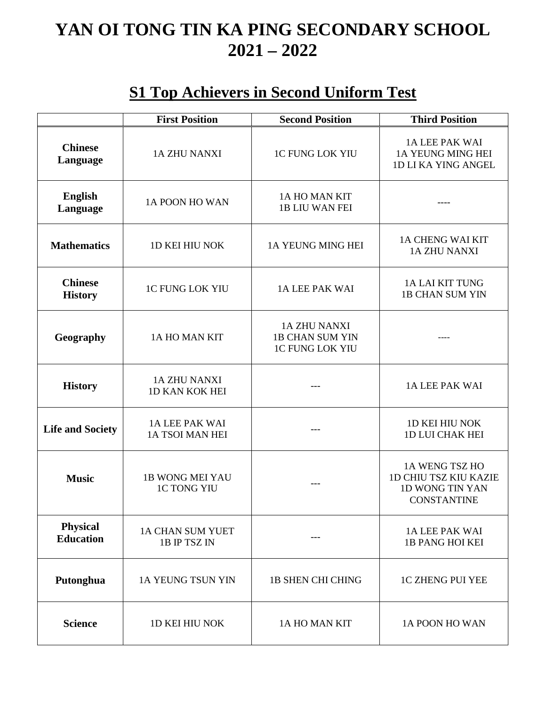# **YAN OI TONG TIN KA PING SECONDARY SCHOOL 2021 – 2022**

#### **S1 Top Achievers in Second Uniform Test**

|                                     | <b>First Position</b>                        | <b>Second Position</b>                                                  | <b>Third Position</b>                                                                   |
|-------------------------------------|----------------------------------------------|-------------------------------------------------------------------------|-----------------------------------------------------------------------------------------|
| <b>Chinese</b><br>Language          | <b>1A ZHU NANXI</b>                          | <b>1C FUNG LOK YIU</b>                                                  | 1A LEE PAK WAI<br>1A YEUNG MING HEI<br>1D LI KA YING ANGEL                              |
| <b>English</b><br>Language          | 1A POON HO WAN                               | 1A HO MAN KIT<br><b>1B LIU WAN FEI</b>                                  |                                                                                         |
| <b>Mathematics</b>                  | <b>1D KEI HIU NOK</b>                        | 1A YEUNG MING HEI                                                       | 1A CHENG WAI KIT<br><b>1A ZHU NANXI</b>                                                 |
| <b>Chinese</b><br><b>History</b>    | <b>1C FUNG LOK YIU</b>                       | <b>1A LEE PAK WAI</b>                                                   | <b>1A LAI KIT TUNG</b><br><b>1B CHAN SUM YIN</b>                                        |
| Geography                           | 1A HO MAN KIT                                | <b>1A ZHU NANXI</b><br><b>1B CHAN SUM YIN</b><br><b>1C FUNG LOK YIU</b> |                                                                                         |
| <b>History</b>                      | <b>1A ZHU NANXI</b><br>1D KAN KOK HEI        |                                                                         | 1A LEE PAK WAI                                                                          |
| <b>Life and Society</b>             | 1A LEE PAK WAI<br>1A TSOI MAN HEI            |                                                                         | <b>1D KEI HIU NOK</b><br><b>1D LUI CHAK HEI</b>                                         |
| <b>Music</b>                        | <b>1B WONG MEI YAU</b><br><b>1C TONG YIU</b> |                                                                         | 1A WENG TSZ HO<br><b>1D CHIU TSZ KIU KAZIE</b><br>1D WONG TIN YAN<br><b>CONSTANTINE</b> |
| <b>Physical</b><br><b>Education</b> | 1A CHAN SUM YUET<br>1B IP TSZ IN             | ---                                                                     | 1A LEE PAK WAI<br><b>1B PANG HOI KEI</b>                                                |
| Putonghua                           | 1A YEUNG TSUN YIN                            | <b>1B SHEN CHI CHING</b>                                                | <b>1C ZHENG PUI YEE</b>                                                                 |
| <b>Science</b>                      | <b>1D KEI HIU NOK</b>                        | 1A HO MAN KIT                                                           | 1A POON HO WAN                                                                          |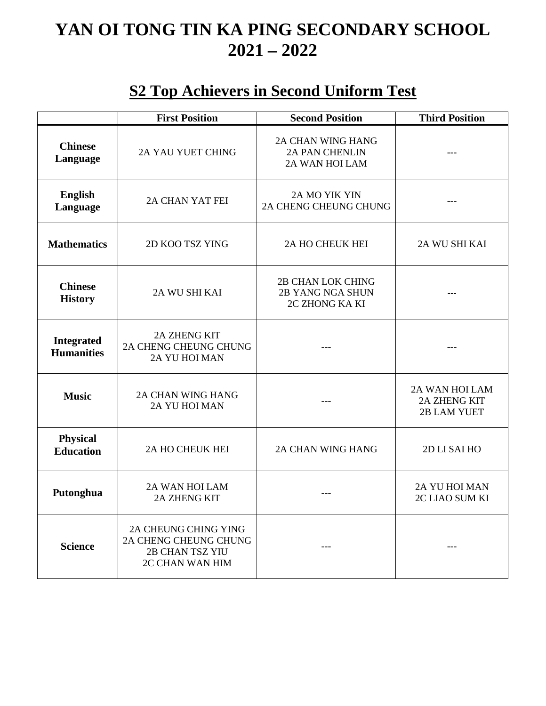## **YAN OI TONG TIN KA PING SECONDARY SCHOOL 2021 – 2022**

#### **S2 Top Achievers in Second Uniform Test**

|                                        | <b>First Position</b>                                                                      | <b>Second Position</b>                                              | <b>Third Position</b>                                       |
|----------------------------------------|--------------------------------------------------------------------------------------------|---------------------------------------------------------------------|-------------------------------------------------------------|
| <b>Chinese</b><br>Language             | <b>2A YAU YUET CHING</b>                                                                   | <b>2A CHAN WING HANG</b><br><b>2A PAN CHENLIN</b><br>2A WAN HOI LAM |                                                             |
| <b>English</b><br>Language             | 2A CHAN YAT FEI                                                                            | 2A MO YIK YIN<br>2A CHENG CHEUNG CHUNG                              |                                                             |
| <b>Mathematics</b>                     | 2D KOO TSZ YING                                                                            | 2A HO CHEUK HEI                                                     | 2A WU SHI KAI                                               |
| <b>Chinese</b><br><b>History</b>       | 2A WU SHI KAI                                                                              | <b>2B CHAN LOK CHING</b><br>2B YANG NGA SHUN<br>2C ZHONG KA KI      |                                                             |
| <b>Integrated</b><br><b>Humanities</b> | <b>2A ZHENG KIT</b><br>2A CHENG CHEUNG CHUNG<br>2A YU HOI MAN                              |                                                                     |                                                             |
| <b>Music</b>                           | <b>2A CHAN WING HANG</b><br>2A YU HOI MAN                                                  |                                                                     | 2A WAN HOI LAM<br><b>2A ZHENG KIT</b><br><b>2B LAM YUET</b> |
| <b>Physical</b><br><b>Education</b>    | 2A HO CHEUK HEI                                                                            | <b>2A CHAN WING HANG</b>                                            | 2D LI SAI HO                                                |
| Putonghua                              | 2A WAN HOI LAM<br><b>2A ZHENG KIT</b>                                                      |                                                                     | <b>2A YU HOI MAN</b><br>2C LIAO SUM KI                      |
| <b>Science</b>                         | 2A CHEUNG CHING YING<br>2A CHENG CHEUNG CHUNG<br><b>2B CHAN TSZ YIU</b><br>2C CHAN WAN HIM |                                                                     |                                                             |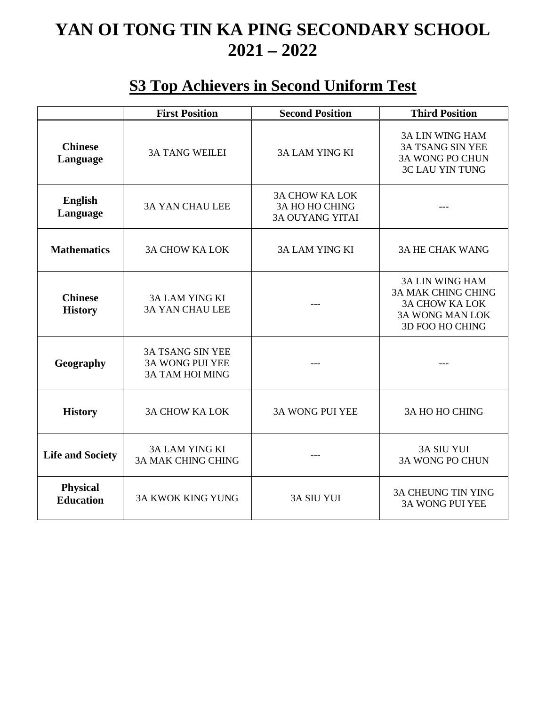# **YAN OI TONG TIN KA PING SECONDARY SCHOOL 2021 – 2022**

### **S3 Top Achievers in Second Uniform Test**

|                                     | <b>First Position</b>                                                       | <b>Second Position</b>                                                   | <b>Third Position</b>                                                                                                     |
|-------------------------------------|-----------------------------------------------------------------------------|--------------------------------------------------------------------------|---------------------------------------------------------------------------------------------------------------------------|
| <b>Chinese</b><br>Language          | <b>3A TANG WEILEI</b>                                                       | <b>3A LAM YING KI</b>                                                    | <b>3A LIN WING HAM</b><br><b>3A TSANG SIN YEE</b><br><b>3A WONG PO CHUN</b><br><b>3C LAU YIN TUNG</b>                     |
| <b>English</b><br>Language          | <b>3A YAN CHAU LEE</b>                                                      | <b>3A CHOW KA LOK</b><br><b>3A HO HO CHING</b><br><b>3A OUYANG YITAI</b> |                                                                                                                           |
| <b>Mathematics</b>                  | <b>3A CHOW KA LOK</b>                                                       | <b>3A LAM YING KI</b>                                                    | <b>3A HE CHAK WANG</b>                                                                                                    |
| <b>Chinese</b><br><b>History</b>    | <b>3A LAM YING KI</b><br><b>3A YAN CHAU LEE</b>                             | $- - -$                                                                  | <b>3A LIN WING HAM</b><br><b>3A MAK CHING CHING</b><br><b>3A CHOW KA LOK</b><br><b>3A WONG MAN LOK</b><br>3D FOO HO CHING |
| Geography                           | <b>3A TSANG SIN YEE</b><br><b>3A WONG PUI YEE</b><br><b>3A TAM HOI MING</b> |                                                                          |                                                                                                                           |
| <b>History</b>                      | <b>3A CHOW KA LOK</b>                                                       | <b>3A WONG PUI YEE</b>                                                   | <b>3A HO HO CHING</b>                                                                                                     |
| <b>Life and Society</b>             | <b>3A LAM YING KI</b><br><b>3A MAK CHING CHING</b>                          |                                                                          | <b>3A SIU YUI</b><br><b>3A WONG PO CHUN</b>                                                                               |
| <b>Physical</b><br><b>Education</b> | <b>3A KWOK KING YUNG</b>                                                    | <b>3A SIU YUI</b>                                                        | <b>3A CHEUNG TIN YING</b><br><b>3A WONG PUI YEE</b>                                                                       |